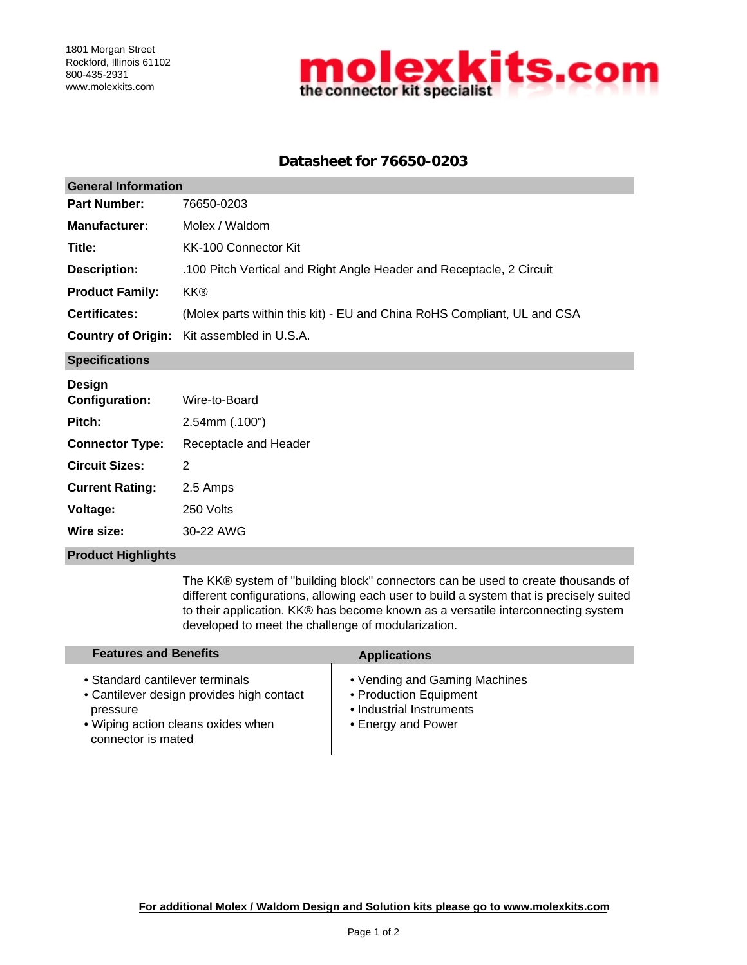

# **Datasheet for 76650-0203**

| <b>General Information</b> |                                                                         |  |  |  |
|----------------------------|-------------------------------------------------------------------------|--|--|--|
| <b>Part Number:</b>        | 76650-0203                                                              |  |  |  |
| <b>Manufacturer:</b>       | Molex / Waldom                                                          |  |  |  |
| Title:                     | KK-100 Connector Kit                                                    |  |  |  |
| <b>Description:</b>        | .100 Pitch Vertical and Right Angle Header and Receptacle, 2 Circuit    |  |  |  |
| <b>Product Family:</b>     | <b>KK®</b>                                                              |  |  |  |
| <b>Certificates:</b>       | (Molex parts within this kit) - EU and China RoHS Compliant, UL and CSA |  |  |  |
|                            | <b>Country of Origin:</b> Kit assembled in U.S.A.                       |  |  |  |
| <b>Specifications</b>      |                                                                         |  |  |  |
| Design                     |                                                                         |  |  |  |

| 2.54mm (.100")<br>Pitch:<br>Receptacle and Header<br><b>Connector Type:</b><br><b>Circuit Sizes:</b><br>2<br>2.5 Amps<br><b>Current Rating:</b><br>250 Volts<br>Voltage:<br>30-22 AWG<br>Wire size: | <b>Configuration:</b> | Wire-to-Board |  |  |
|-----------------------------------------------------------------------------------------------------------------------------------------------------------------------------------------------------|-----------------------|---------------|--|--|
|                                                                                                                                                                                                     |                       |               |  |  |
|                                                                                                                                                                                                     |                       |               |  |  |
|                                                                                                                                                                                                     |                       |               |  |  |
|                                                                                                                                                                                                     |                       |               |  |  |
|                                                                                                                                                                                                     |                       |               |  |  |
|                                                                                                                                                                                                     |                       |               |  |  |

#### **Product Highlights**

The KK® system of "building block" connectors can be used to create thousands of different configurations, allowing each user to build a system that is precisely suited to their application. KK® has become known as a versatile interconnecting system developed to meet the challenge of modularization.

| <b>Features and Benefits</b>                                                                                                                         | <b>Applications</b>                                                                                       |
|------------------------------------------------------------------------------------------------------------------------------------------------------|-----------------------------------------------------------------------------------------------------------|
| • Standard cantilever terminals<br>• Cantilever design provides high contact<br>pressure<br>• Wiping action cleans oxides when<br>connector is mated | • Vending and Gaming Machines<br>• Production Equipment<br>• Industrial Instruments<br>• Energy and Power |